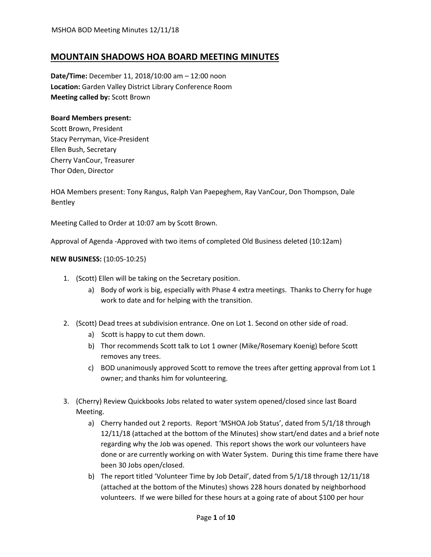# **MOUNTAIN SHADOWS HOA BOARD MEETING MINUTES**

**Date/Time:** December 11, 2018/10:00 am – 12:00 noon **Location:** Garden Valley District Library Conference Room **Meeting called by:** Scott Brown

## **Board Members present:**

Scott Brown, President Stacy Perryman, Vice-President Ellen Bush, Secretary Cherry VanCour, Treasurer Thor Oden, Director

HOA Members present: Tony Rangus, Ralph Van Paepeghem, Ray VanCour, Don Thompson, Dale Bentley

Meeting Called to Order at 10:07 am by Scott Brown.

Approval of Agenda -Approved with two items of completed Old Business deleted (10:12am)

## **NEW BUSINESS:** (10:05-10:25)

- 1. (Scott) Ellen will be taking on the Secretary position.
	- a) Body of work is big, especially with Phase 4 extra meetings. Thanks to Cherry for huge work to date and for helping with the transition.
- 2. (Scott) Dead trees at subdivision entrance. One on Lot 1. Second on other side of road.
	- a) Scott is happy to cut them down.
	- b) Thor recommends Scott talk to Lot 1 owner (Mike/Rosemary Koenig) before Scott removes any trees.
	- c) BOD unanimously approved Scott to remove the trees after getting approval from Lot 1 owner; and thanks him for volunteering.
- 3. (Cherry) Review Quickbooks Jobs related to water system opened/closed since last Board Meeting.
	- a) Cherry handed out 2 reports. Report 'MSHOA Job Status', dated from 5/1/18 through 12/11/18 (attached at the bottom of the Minutes) show start/end dates and a brief note regarding why the Job was opened. This report shows the work our volunteers have done or are currently working on with Water System. During this time frame there have been 30 Jobs open/closed.
	- b) The report titled 'Volunteer Time by Job Detail', dated from 5/1/18 through 12/11/18 (attached at the bottom of the Minutes) shows 228 hours donated by neighborhood volunteers. If we were billed for these hours at a going rate of about \$100 per hour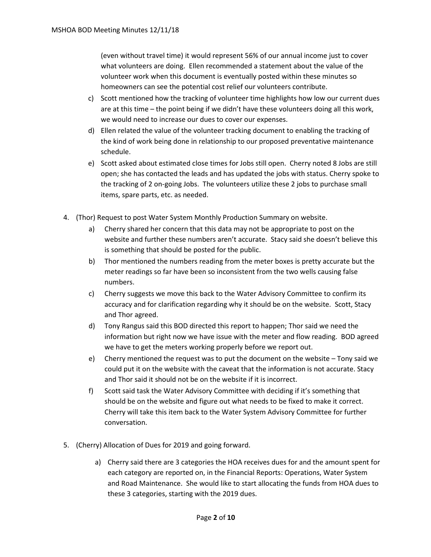(even without travel time) it would represent 56% of our annual income just to cover what volunteers are doing. Ellen recommended a statement about the value of the volunteer work when this document is eventually posted within these minutes so homeowners can see the potential cost relief our volunteers contribute.

- c) Scott mentioned how the tracking of volunteer time highlights how low our current dues are at this time – the point being if we didn't have these volunteers doing all this work, we would need to increase our dues to cover our expenses.
- d) Ellen related the value of the volunteer tracking document to enabling the tracking of the kind of work being done in relationship to our proposed preventative maintenance schedule.
- e) Scott asked about estimated close times for Jobs still open. Cherry noted 8 Jobs are still open; she has contacted the leads and has updated the jobs with status. Cherry spoke to the tracking of 2 on-going Jobs. The volunteers utilize these 2 jobs to purchase small items, spare parts, etc. as needed.
- 4. (Thor) Request to post Water System Monthly Production Summary on website.
	- a) Cherry shared her concern that this data may not be appropriate to post on the website and further these numbers aren't accurate. Stacy said she doesn't believe this is something that should be posted for the public.
	- b) Thor mentioned the numbers reading from the meter boxes is pretty accurate but the meter readings so far have been so inconsistent from the two wells causing false numbers.
	- c) Cherry suggests we move this back to the Water Advisory Committee to confirm its accuracy and for clarification regarding why it should be on the website. Scott, Stacy and Thor agreed.
	- d) Tony Rangus said this BOD directed this report to happen; Thor said we need the information but right now we have issue with the meter and flow reading. BOD agreed we have to get the meters working properly before we report out.
	- e) Cherry mentioned the request was to put the document on the website Tony said we could put it on the website with the caveat that the information is not accurate. Stacy and Thor said it should not be on the website if it is incorrect.
	- f) Scott said task the Water Advisory Committee with deciding if it's something that should be on the website and figure out what needs to be fixed to make it correct. Cherry will take this item back to the Water System Advisory Committee for further conversation.
- 5. (Cherry) Allocation of Dues for 2019 and going forward.
	- a) Cherry said there are 3 categories the HOA receives dues for and the amount spent for each category are reported on, in the Financial Reports: Operations, Water System and Road Maintenance. She would like to start allocating the funds from HOA dues to these 3 categories, starting with the 2019 dues.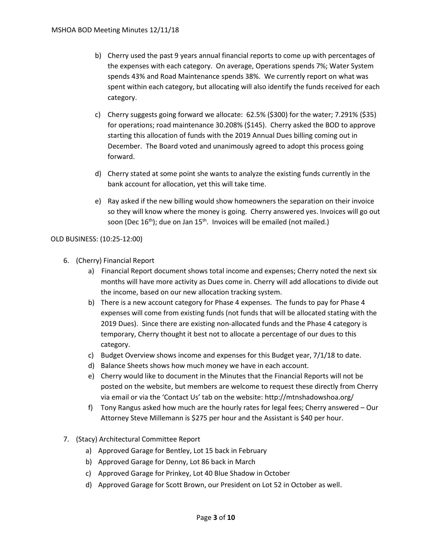- b) Cherry used the past 9 years annual financial reports to come up with percentages of the expenses with each category. On average, Operations spends 7%; Water System spends 43% and Road Maintenance spends 38%. We currently report on what was spent within each category, but allocating will also identify the funds received for each category.
- c) Cherry suggests going forward we allocate: 62.5% (\$300) for the water; 7.291% (\$35) for operations; road maintenance 30.208% (\$145). Cherry asked the BOD to approve starting this allocation of funds with the 2019 Annual Dues billing coming out in December. The Board voted and unanimously agreed to adopt this process going forward.
- d) Cherry stated at some point she wants to analyze the existing funds currently in the bank account for allocation, yet this will take time.
- e) Ray asked if the new billing would show homeowners the separation on their invoice so they will know where the money is going. Cherry answered yes. Invoices will go out soon (Dec 16<sup>th</sup>); due on Jan 15<sup>th</sup>. Invoices will be emailed (not mailed.)

## OLD BUSINESS: (10:25-12:00)

- 6. (Cherry) Financial Report
	- a) Financial Report document shows total income and expenses; Cherry noted the next six months will have more activity as Dues come in. Cherry will add allocations to divide out the income, based on our new allocation tracking system.
	- b) There is a new account category for Phase 4 expenses. The funds to pay for Phase 4 expenses will come from existing funds (not funds that will be allocated stating with the 2019 Dues). Since there are existing non-allocated funds and the Phase 4 category is temporary, Cherry thought it best not to allocate a percentage of our dues to this category.
	- c) Budget Overview shows income and expenses for this Budget year, 7/1/18 to date.
	- d) Balance Sheets shows how much money we have in each account.
	- e) Cherry would like to document in the Minutes that the Financial Reports will not be posted on the website, but members are welcome to request these directly from Cherry via email or via the 'Contact Us' tab on the website: http://mtnshadowshoa.org/
	- f) Tony Rangus asked how much are the hourly rates for legal fees; Cherry answered Our Attorney Steve Millemann is \$275 per hour and the Assistant is \$40 per hour.
- 7. (Stacy) Architectural Committee Report
	- a) Approved Garage for Bentley, Lot 15 back in February
	- b) Approved Garage for Denny, Lot 86 back in March
	- c) Approved Garage for Prinkey, Lot 40 Blue Shadow in October
	- d) Approved Garage for Scott Brown, our President on Lot 52 in October as well.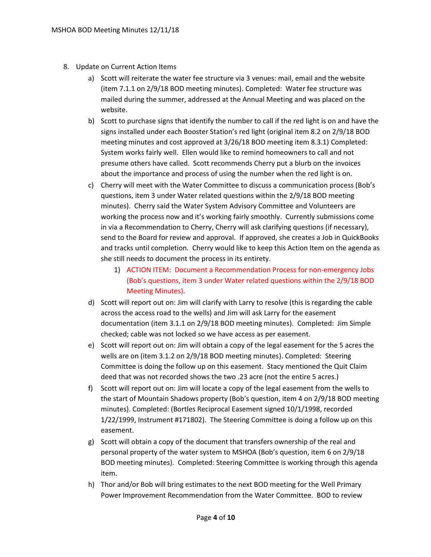- 8. Update on Current Action Items
	- a) Scott will reiterate the water fee structure via 3 venues: mail, email and the website (item 7.1.1 on 2/9/18 BOD meeting minutes). Completed: Water fee structure was mailed during the summer, addressed at the Annual Meeting and was placed on the website.
	- b) Scott to purchase signs that identify the number to call if the red light is on and have the signs installed under each Booster Station's red light (original item 8.2 on 2/9/18 BOD meeting minutes and cost approved at 3/26/18 BOD meeting item 8.3.1) Completed: System works fairly well. Ellen would like to remind homeowners to call and not presume others have called. Scott recommends Cherry put a blurb on the invoices about the importance and process of using the number when the red light is on.
	- c) Cherry will meet with the Water Committee to discuss a communication process (Bob's questions, item 3 under Water related questions within the 2/9/18 BOD meeting minutes). Cherry said the Water System Advisory Committee and Volunteers are working the process now and it's working fairly smoothly. Currently submissions come in via a Recommendation to Cherry, Cherry will ask clarifying questions (if necessary), send to the Board for review and approval. If approved, she creates a Job in QuickBooks and tracks until completion. Cherry would like to keep this Action Item on the agenda as she still needs to document the process in its entirety.
		- 1) ACTION ITEM: Document a Recommendation Process for non-emergency Jobs (Bob's questions, item 3 under Water related questions within the 2/9/18 BOD Meeting Minutes).
	- d) Scott will report out on: Jim will clarify with Larry to resolve (this is regarding the cable across the access road to the wells) and Jim will ask Larry for the easement documentation (item 3.1.1 on 2/9/18 BOD meeting minutes). Completed: Jim Simple checked; cable was not locked so we have access as per easement.
	- e) Scott will report out on: Jim will obtain a copy of the legal easement for the 5 acres the wells are on (item 3.1.2 on 2/9/18 BOD meeting minutes). Completed: Steering Committee is doing the follow up on this easement. Stacy mentioned the Quit Claim deed that was not recorded shows the two .23 acre (not the entire 5 acres.)
	- f) Scott will report out on: Jim will locate a copy of the legal easement from the wells to the start of Mountain Shadows property (Bob's question, item 4 on 2/9/18 BOD meeting minutes). Completed: (Bortles Reciprocal Easement signed 10/1/1998, recorded 1/22/1999, Instrument #171802). The Steering Committee is doing a follow up on this easement.
	- g) Scott will obtain a copy of the document that transfers ownership of the real and personal property of the water system to MSHOA (Bob's question, item 6 on 2/9/18 BOD meeting minutes). Completed: Steering Committee is working through this agenda item.
	- h) Thor and/or Bob will bring estimates to the next BOD meeting for the Well Primary Power Improvement Recommendation from the Water Committee. BOD to review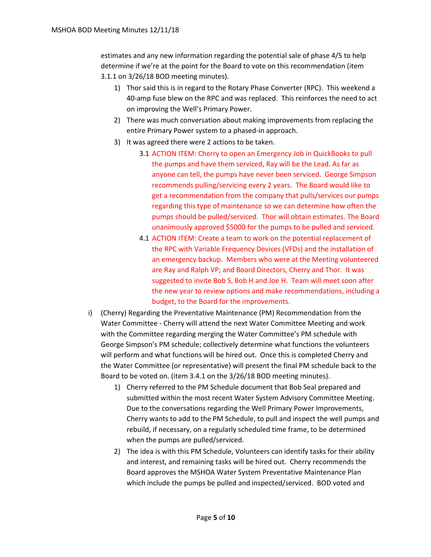estimates and any new information regarding the potential sale of phase 4/5 to help determine if we're at the point for the Board to vote on this recommendation (item 3.1.1 on 3/26/18 BOD meeting minutes).

- 1) Thor said this is in regard to the Rotary Phase Converter (RPC). This weekend a 40-amp fuse blew on the RPC and was replaced. This reinforces the need to act on improving the Well's Primary Power.
- 2) There was much conversation about making improvements from replacing the entire Primary Power system to a phased-in approach.
- 3) It was agreed there were 2 actions to be taken.
	- 3.1 ACTION ITEM: Cherry to open an Emergency Job in QuickBooks to pull the pumps and have them serviced, Ray will be the Lead. As far as anyone can tell, the pumps have never been serviced. George Simpson recommends pulling/servicing every 2 years. The Board would like to get a recommendation from the company that pulls/services our pumps regarding this type of maintenance so we can determine how often the pumps should be pulled/serviced. Thor will obtain estimates. The Board unanimously approved \$5000 for the pumps to be pulled and serviced.
	- 4.1 ACTION ITEM: Create a team to work on the potential replacement of the RPC with Variable Frequency Devices (VFDs) and the installation of an emergency backup. Members who were at the Meeting volunteered are Ray and Ralph VP; and Board Directors, Cherry and Thor. It was suggested to invite Bob S, Bob H and Joe H. Team will meet soon after the new year to review options and make recommendations, including a budget, to the Board for the improvements.
- i) (Cherry) Regarding the Preventative Maintenance (PM) Recommendation from the Water Committee - Cherry will attend the next Water Committee Meeting and work with the Committee regarding merging the Water Committee's PM schedule with George Simpson's PM schedule; collectively determine what functions the volunteers will perform and what functions will be hired out. Once this is completed Cherry and the Water Committee (or representative) will present the final PM schedule back to the Board to be voted on. (item 3.4.1 on the 3/26/18 BOD meeting minutes).
	- 1) Cherry referred to the PM Schedule document that Bob Seal prepared and submitted within the most recent Water System Advisory Committee Meeting. Due to the conversations regarding the Well Primary Power Improvements, Cherry wants to add to the PM Schedule, to pull and inspect the well pumps and rebuild, if necessary, on a regularly scheduled time frame, to be determined when the pumps are pulled/serviced.
	- 2) The idea is with this PM Schedule, Volunteers can identify tasks for their ability and interest, and remaining tasks will be hired out. Cherry recommends the Board approves the MSHOA Water System Preventative Maintenance Plan which include the pumps be pulled and inspected/serviced. BOD voted and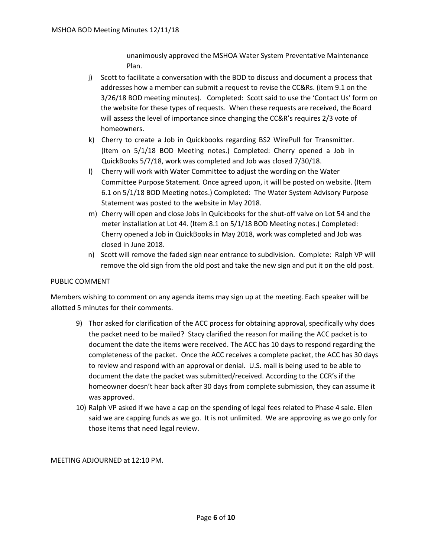unanimously approved the MSHOA Water System Preventative Maintenance Plan.

- j) Scott to facilitate a conversation with the BOD to discuss and document a process that addresses how a member can submit a request to revise the CC&Rs. (item 9.1 on the 3/26/18 BOD meeting minutes). Completed: Scott said to use the 'Contact Us' form on the website for these types of requests. When these requests are received, the Board will assess the level of importance since changing the CC&R's requires 2/3 vote of homeowners.
- k) Cherry to create a Job in Quickbooks regarding BS2 WirePull for Transmitter. (Item on 5/1/18 BOD Meeting notes.) Completed: Cherry opened a Job in QuickBooks 5/7/18, work was completed and Job was closed 7/30/18.
- l) Cherry will work with Water Committee to adjust the wording on the Water Committee Purpose Statement. Once agreed upon, it will be posted on website. (Item 6.1 on 5/1/18 BOD Meeting notes.) Completed: The Water System Advisory Purpose Statement was posted to the website in May 2018.
- m) Cherry will open and close Jobs in Quickbooks for the shut-off valve on Lot 54 and the meter installation at Lot 44. (Item 8.1 on 5/1/18 BOD Meeting notes.) Completed: Cherry opened a Job in QuickBooks in May 2018, work was completed and Job was closed in June 2018.
- n) Scott will remove the faded sign near entrance to subdivision. Complete: Ralph VP will remove the old sign from the old post and take the new sign and put it on the old post.

#### PUBLIC COMMENT

Members wishing to comment on any agenda items may sign up at the meeting. Each speaker will be allotted 5 minutes for their comments.

- 9) Thor asked for clarification of the ACC process for obtaining approval, specifically why does the packet need to be mailed? Stacy clarified the reason for mailing the ACC packet is to document the date the items were received. The ACC has 10 days to respond regarding the completeness of the packet. Once the ACC receives a complete packet, the ACC has 30 days to review and respond with an approval or denial. U.S. mail is being used to be able to document the date the packet was submitted/received. According to the CCR's if the homeowner doesn't hear back after 30 days from complete submission, they can assume it was approved.
- 10) Ralph VP asked if we have a cap on the spending of legal fees related to Phase 4 sale. Ellen said we are capping funds as we go. It is not unlimited. We are approving as we go only for those items that need legal review.

MEETING ADJOURNED at 12:10 PM.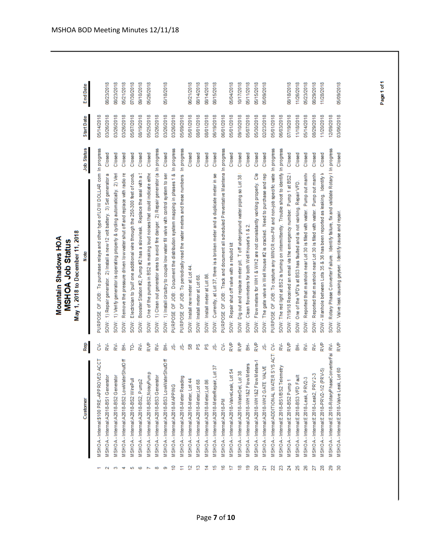|                |                                               |           | May 1, 2018 to December 11, 2018<br>Mountain Shadows HOA<br>MSHOA Job Status                  |                   |                 |
|----------------|-----------------------------------------------|-----------|-----------------------------------------------------------------------------------------------|-------------------|-----------------|
|                | Customer                                      | Rep       | Job Status<br>Note                                                                            | <b>Start Date</b> | <b>End Date</b> |
|                | MSHOA-Internal:\$100 PRE-APPROVED ACCT        | కి        | PURPOSE OF JOB: To purchase relays and other type of LOW DOLLAR com In progress               | 05/14/2018        |                 |
| $\mathbf 2$    | MSHOA-Internal:A2018-BS1 Generator            | ≵         | Closed<br>SOW: 1) Repair generator. 2) Install a new 12 volt battery. 3) Set generator a      | 03/26/2018        | 08/23/2018      |
| ø              | MSHOA-Internal:A2018-BS2 Generator            | ≵         | Closed<br>SOW: 1) Venfy generator is operating properly & cycling automatically. 2) Ven       | 03/26/2018        | 08/23/2018      |
| ₩              | VISHOA-Internal:A2018-BS2 LowWaterShutOff     | 롦         | Closed<br>SOW: Remove the pressure driven low water shut off and replace with radio re        | 03/26/2018        | 05/21/2018      |
| 5              | MSHOA-Internal:A2018-BS2 WirePull             | έ         | Closed<br>SOW: Electrician to 'pull' one additional wire through the 250-300 feet of condu    | 05/07/2018        | 07/30/2018      |
| 6              | MSHOA-Internal:A2018-BS2, Pump2               | RV-       | Closed<br>SOW: Booster Station #2, Pump #2 has a slowleak. Replace the seal with a!           | 08/19/2018        | 09/10/2018      |
| N              | MSHOA-Internal:A2018-BS2,NoisyPump            | e<br>R    | Closed<br>SOW: One of the pumps in BS2 is making loud noises that could indicate either       | 05/25/2018        | 05/26/2018      |
| 8              | MSHOA-Internal:A2018-BS3 Generator            | RV-       | SOW: 1) Clean out generator area to avoid fire danger. 2) Repair generator (a In progress     | 03/26/2018        |                 |
| ø              | MSHOA-Internal:A2018-BS3 LowWaterShutOff      | 훎         | Closed<br>SOW: 1) Install circuitry to couple low water fill valve with control system to ser | 03/26/2018        | 05/18/2018      |
| ₽              | MSHOA-Internal:A2018-MAPPING                  | Šβ        | In progress<br>PURPOSE OF JOB: Document the distribution system mapping in phases 1 &         | 03/26/2018        |                 |
|                | MSHOA - Internal:A2018-Meter Reading          | Šβ        | In progress<br>OF JOB: To periodically read the vater meters and these numbers<br>PURPOSE     | 05/09/2018        |                 |
| 으              | MSHOA - Internal:A2018-Meter, Lot 44          | 5         | Closed<br>SOW: Install new meter at Lot 44                                                    | 05/01/2018        | 06/21/2018      |
| ≌              | MSHOA-Internal:A2018-Meter,Lot 68             | တ္တ       | Closed<br>SOW: Install meter at Lot 68                                                        | 08/01/2018        | 08/14/2018      |
| ⋣              | MSHOA-Internal:A2018-Meter,Lot 86             | စ္စ       | Closed<br>SOW: Install meter at Lot 86                                                        | 08/01/2018        | 08/14/2018      |
| بية            | Lot 37<br>MSHOA - Internal:A2018-MeterRepair, | ģ         | Closed<br>SOW: Currently, at Lot 37, there is a broken meter and a duplicate meter in se      | 06/19/2018        | 08/15/2018      |
| ڥ              | MSHOA-Internal:A2018-PM                       | ξ         | PURPOSE OF JOB: Track and document all scheduled Preventative Maintena In progress            | 06/01/2018        |                 |
| ₽              | MSHOA-Internal:A2018-ValveLeak, Lot 54        | e<br>≫    | Closed<br>SOW: Repair shut off valve with a rebuild kit                                       | 05/01/2018        | 15/04/2018      |
| ≌              | 38<br>MSHOA - Internal:A2018-WaterDel, Lot    | e<br>≫    | Closed<br>SOW Dig out and replace meter pit. Toff underground water piping so Lot 38          | 09/10/2018        | 10/17/2018      |
| ë              | MSHOA-Internal:A2018-WH1&2 Flow Meters        | 롦         | Closed<br>SOW: Clean flowmeters for both Well House's 1 &                                     | 05/07/2018        | 05/11/2018      |
| 20             | Meters-1<br>MSHOA-Internal:A2018-WH182 Flow   | ₿<br>R∨   | Closed<br>SOW: Flow meters for WH1 & WH2 are not consistantly working property. Cle           | 05/30/2018        | 05/15/2018      |
| N              | <b>VALVE</b><br>MSHOA-Internal:A2018-WH2 GATE | ģ         | Closed<br>SOW: The gate valve in Well House #2 is cracked. Need to purchase and repl          | 02/23/2018        | 05/09/2018      |
| R              | MSHOA - Internal:ADDITIONAL WATER SYS ACTI    | ξ         | PURPOSE OF JOB: To capture any MINOR non-PM and non-job specific wate in progress             | 05/01/2018        |                 |
| Z              | MSHOA-Internal:E2018-BS1/BS2 Telemetry        | ≵         | SOW: The red light at BS2 is turning on intermittently. Trouble shoot to identify In progress | 06/03/2018        |                 |
| $\mathbb{Z}^4$ | MSHOA-Internal:E2018-BS2 Pump 1               | e<br>S    | Closed<br>SOW: 7/19/18 Received an email via the emergency number. Pump 1 at BS2 i            | 07/19/2018        | 8/18/2018       |
| 25             | MSHOA-Internal:E2018-BS3 VFD Fault            | 盖         | Closed<br>SOW One of the VFD's at BS3 has faulted and is not working. Repair VFD.             | 1/18/2018         | 11/26/2018      |
| 26             | MSHOA-Internal:E2018-Leak, PRV2-3             | ₹,        | Closed<br>SOW: Reported that manhole near Lot 30 is filled with water. Pump out manhy         | 05/14/2018        | 05/23/2018      |
| 27             | MSHOA-Internal:E2018-Leak2, PRV2-3            | ≵         | Closed<br>SOW: Reported that manhole near Lot 30 is filled with water. Pump out manh          | 08/29/2018        | 08/29/2018      |
| 28             | MSHOA - Internal:E 2018-PRV2-1/2 (PRV-5)      | <b>RV</b> | Closed<br>SOW - Manhole between Lots 35 & 36 has been reported as leaking. Identify k         | 11/20/2018        | 11/28/2018      |
| ని             | MSHOA-Internal:E2018-RotaryPhaseConverterFai  | ₹,        | SOW: Rotary Phase Converter Failure. Identify failure, fix and validate Rotary I In progress  | 2/09/2018         |                 |
|                | MSHOA - Internal:E 2018-Valve Leak, Lot 60    | ₿         | Closed<br>SOW: Valve leak causing geyser. I dentify cause and repair.                         | 03/06/2018        | 05/09/2018      |
|                |                                               |           |                                                                                               |                   |                 |

Page 1 of 1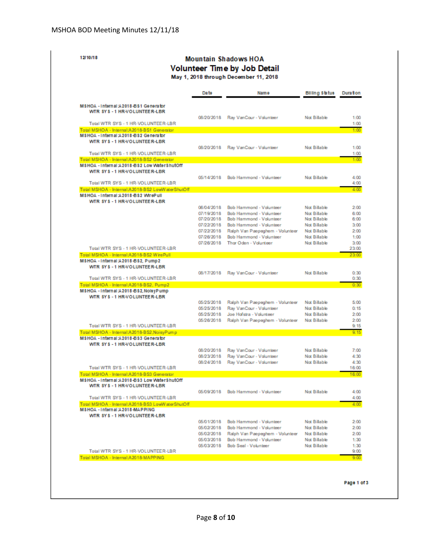|                                                                                    |                          | <b>Mountain Shadows HOA</b><br><b>Volunteer Time by Job Detail</b>       |                                     |                 |
|------------------------------------------------------------------------------------|--------------------------|--------------------------------------------------------------------------|-------------------------------------|-----------------|
|                                                                                    |                          | May 1, 2018 through December 11, 2018                                    |                                     |                 |
|                                                                                    | Da te                    | <b>Name</b>                                                              | <b>Billing Status</b>               | <b>Duration</b> |
| MSHOA - Internal A2018-BS1 Generator<br>WTR SYS - 1 HR-VOLUNTEE R-LBR              |                          |                                                                          |                                     |                 |
| Total WTR SYS - 1 HR-VOLUNTEER-LBR                                                 | 08/20/2018               | Ray VanCour - Volunteer                                                  | Not Billable                        |                 |
| Total MSHOA - Internal:A2018-BS1 Generator<br>MSHOA - Internal A2018-BS2 Generator |                          |                                                                          |                                     |                 |
| WTR SYS - 1 HR-VOLUNTEER-LBR                                                       |                          |                                                                          |                                     |                 |
|                                                                                    | 08/20/2018               | Ray VanCour - Volunteer                                                  | Not Billable                        |                 |
| Total WTR SYS - 1 HR-VOLUNTEER-LBR<br>Total MSHOA - Internal:A2018-BS2 Generator   |                          |                                                                          |                                     |                 |
| MSHOA - Internal :A2018-BS2 Low WaterShutOff                                       |                          |                                                                          |                                     |                 |
| WTR SYS - 1 HR-VOLUNTEE R-LBR                                                      |                          |                                                                          |                                     |                 |
| Total WTR SYS - 1 HR-VOLUNTEER-LBR                                                 | 05/14/2018               | Bob Hammond - Volunteer                                                  | <b>Not Billable</b>                 |                 |
| Total MSHOA - Internal:A2018-BS2 LowWaterShutOff                                   |                          |                                                                          |                                     |                 |
| MSHOA - Internal A2018-BS2 WirePull                                                |                          |                                                                          |                                     |                 |
| WTR SYS-1 HR-VOLUNTEER-LBR                                                         | 06/04/2018               | Bob Hammond - Volunteer                                                  | Not Billable                        |                 |
|                                                                                    | 07/19/2018               | Bob Hammond - Volunteer                                                  | <b>Not Billable</b>                 |                 |
|                                                                                    | 07/20/2018               | Bob Hammond - Volunteer                                                  | Not Billable                        |                 |
|                                                                                    | 07/22/2018               | Bob Hammond - Volunteer                                                  | <b>Not Billable</b>                 |                 |
|                                                                                    | 07/22/2018<br>07/26/2018 | Ralph Van Paepeghem - Volunteer<br>Bob Hammond - Volunteer               | <b>Not Billable</b><br>Not Billable |                 |
|                                                                                    | 07/26/2018               | Thar Oden - Valunteer                                                    | Not Billable                        |                 |
| Total WTR SYS - 1 HR-VOLUNTEER-LBR                                                 |                          |                                                                          |                                     |                 |
| Total MSHOA - Internal:A2018-BS2 WirePull<br>MSHOA - Internal:A2018-BS2, Pump2     |                          |                                                                          |                                     |                 |
| WTR SYS-1 HR-VOLUNTEER-LBR                                                         |                          |                                                                          |                                     |                 |
| Total WTR SYS - 1 HR-VOLUNTEER-LBR                                                 | 08/17/2018               | Ray VanCour - Volunteer                                                  | <b>Not Billable</b>                 |                 |
| Total MSHOA - Internal:A2018-BS2, Pump2                                            |                          |                                                                          |                                     |                 |
| MSHOA - Internal :A2018-BS2, NolsyPump                                             |                          |                                                                          |                                     |                 |
| WTR SYS-1 HR-VOLUNTEER-LBR                                                         | 05/25/2018               | Ralph Van Paepeghem - Volunteer                                          | Not Billable                        |                 |
|                                                                                    | 05/25/2018               | Ray VanCour - Volunteer                                                  | Not Billable                        |                 |
|                                                                                    | 05/25/2018               | Joe Hofstra - Volunteer                                                  | <b>Not Billable</b>                 |                 |
| Total WTR SYS - 1 HR-VOLUNTEER-LBR                                                 | 05/26/2018               | Ralph Van Paepeghem - Volunteer                                          | <b>Not Billable</b>                 |                 |
| Total MSHOA - Internal:A2018-BS2,NoisyPump                                         |                          |                                                                          |                                     |                 |
| MSHOA - Internal A2018-BS3 Generator                                               |                          |                                                                          |                                     |                 |
| WTR SYS-1 HR-VOLUNTEER-LBR                                                         |                          |                                                                          | Not Billable                        |                 |
|                                                                                    | 08/20/2018<br>08/23/2018 | Ray VanCour - Volunteer<br>Ray VanCour - Volunteer                       | <b>Not Billable</b>                 |                 |
|                                                                                    | 08/24/2018               | Ray VanCour - Volunteer                                                  | <b>Not Billable</b>                 |                 |
| Total WTR SYS - 1 HR-VOLUNTEER-LBR<br>Total MSHOA - Internal:A2018-BS3 Generator   |                          |                                                                          |                                     |                 |
| MSHOA - Internal: A2018-BS3 Low WaterShutOff                                       |                          |                                                                          |                                     |                 |
| WTR SYS - 1 HR-VOLUNTEER-LBR                                                       |                          |                                                                          |                                     |                 |
| Total WTR SYS - 1 HR-VOLUNTEER-LBR                                                 | 05/09/2018               | Bob Hammond - Volunteer                                                  | <b>Not Billable</b>                 |                 |
| Total MSHOA - Internal:A2018-BS3 LowWaterShutOff                                   |                          |                                                                          |                                     |                 |
| MSHOA - Internal :A2018-MAPPING                                                    |                          |                                                                          |                                     |                 |
| WTR SYS-1 HR-VOLUNTEER-LBR                                                         |                          |                                                                          |                                     |                 |
|                                                                                    |                          | 05/01/2018 Bob Hammond - Volunteer<br>05/02/2018 Bob Hammond - Volunteer | Not Billable<br>Not Billable        |                 |
|                                                                                    |                          | 05/02/2018 Ralph Van Paepeghem - Volunteer                               | Not Billable                        |                 |
|                                                                                    |                          | 05/03/2018 Bob Hammond - Volunteer                                       | Not Billable                        |                 |
| Total WTR SYS - 1 HR-VOLUNTEER-LBR                                                 |                          | 05/03/2018 Bob Seal - Volunteer                                          | Not Billable                        |                 |
| Total MSHOA - Internal:A2018-MAPPING                                               |                          |                                                                          |                                     |                 |

Page 1 of 3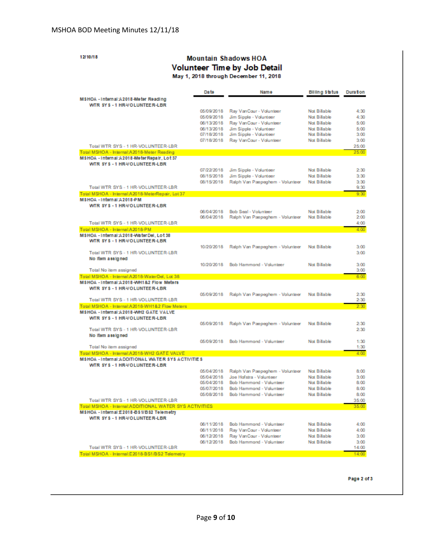12/10/18

#### **Mountain Shadows HOA** Volunteer Time by Job Detail May 1, 2018 through December 11, 2018

|                                                                                                    | Da te                    | <b>Name</b>                                                | Billing Status               | <b>Duration</b> |
|----------------------------------------------------------------------------------------------------|--------------------------|------------------------------------------------------------|------------------------------|-----------------|
| MSHOA - Internal A2018-Meter Reading<br>WTR SYS-1 HR-VOLUNTEER-LBR                                 |                          |                                                            |                              |                 |
|                                                                                                    | 05/09/2018               | Ray VanCour - Volunteer                                    | <b>Not Billable</b>          | 4:30            |
|                                                                                                    | 05/09/2018               | Jim Sipple - Volunteer                                     | <b>Not Billable</b>          | 4:30            |
|                                                                                                    | 06/13/2018<br>06/13/2018 | Ray VanCour - Volunteer<br>Jim Sipple - Volunteer          | Not Billable<br>Not Billable | 5:00<br>5:00    |
|                                                                                                    | 07/18/2018               | Jim Sipple - Volunteer                                     | <b>Not Billable</b>          | 3:00            |
|                                                                                                    | 07/18/2018               | Ray VanCour - Volunteer                                    | <b>Not Billable</b>          | 3:00            |
| Total WTR SYS - 1 HR-VOLUNTEER-LBR                                                                 |                          |                                                            |                              | 25:00           |
| Total MSHOA - Internal:A2018-Meter Reading                                                         |                          |                                                            |                              | 25:00           |
| MSHOA - Internal :A2018-Meter Repair, Lot 37<br>WTR SYS-1 HR-VOLUNTEER-LBR                         |                          |                                                            |                              |                 |
|                                                                                                    | 07/22/2018               | Jim Sipple - Volunteer                                     | <b>Not Billable</b>          | 2:30            |
|                                                                                                    | 08/15/2018               | Jim Sipple - Volunteer                                     | <b>Not Billable</b>          | 3:30            |
|                                                                                                    | 08/15/2018               | Ralph Van Paepeghem - Volunteer                            | <b>Not Billable</b>          | 3:30            |
| Total WTR SYS - 1 HR-VOLUNTEER-LBR                                                                 |                          |                                                            |                              | 9:30            |
| Total MSHOA - Internal:A2018-MeterRepair, Lot 37<br>MSHOA - Internal :A2018 -PM                    |                          |                                                            |                              | 9:30            |
| WTR SYS-1 HR-VOLUNTEER-LBR                                                                         |                          |                                                            |                              |                 |
|                                                                                                    | 06/04/2018               | <b>Bob Seal - Volunteer</b>                                | <b>Not Billable</b>          | 2:00            |
|                                                                                                    | 06/04/2018               | Ralph Van Paepeghem - Volunteer                            | <b>Not Billable</b>          | 2:00            |
| Total WTR SYS - 1 HR-VOLUNTEER-LBR                                                                 |                          |                                                            |                              | 4:00            |
| Total MSHOA - Internal:A2018-PM<br>MSHOA - Internal:A2018-WaterDel. Lot 38                         |                          |                                                            |                              | 4:00            |
| WTR SYS-1 HR-VOLUNTEER-LBR                                                                         |                          |                                                            |                              |                 |
|                                                                                                    | 10/20/2018               | Ralph Van Paepeghem - Volunteer                            | <b>Not Billable</b>          | 3:00            |
| Total WTR SYS - 1 HR-VOLUNTEER-LBR                                                                 |                          |                                                            |                              | 3:00            |
| No Item assigned                                                                                   |                          |                                                            |                              |                 |
| Total No item assigned                                                                             | 10/20/2018               | Bob Hammond - Volunteer                                    | <b>Not Billable</b>          | 3:00<br>3:00    |
| Total MSHOA - Internal:A2018-WaterDel, Lot 38                                                      |                          |                                                            |                              | 6:00            |
| MSHOA - Internal :A2018-WH1&2 Flow Meters                                                          |                          |                                                            |                              |                 |
| WTR SYS-1 HR-VOLUNTEER-LBR                                                                         |                          |                                                            |                              |                 |
| Total WTR SYS - 1 HR-VOLUNTEER-LBR                                                                 | 05/09/2018               | Ralph Van Paepeghem - Volunteer                            | <b>Not Billable</b>          | 2:30            |
| Total MSHOA - Internal:A2018-WH1&2 Flow Meters                                                     |                          |                                                            |                              | 2:30<br>2:30    |
| MSHOA - Internal A2018-WH2 GATE VALVE                                                              |                          |                                                            |                              |                 |
| WTR SYS-1 HR-VOLUNTEER-LBR                                                                         |                          |                                                            |                              |                 |
|                                                                                                    | 05/09/2018               | Ralph Van Paepeghem - Volunteer                            | <b>Not Billable</b>          | 2:30            |
| Total WTR SYS - 1 HR-VOLUNTEER-LBR                                                                 |                          |                                                            |                              | 2:30            |
| No Item assigned                                                                                   | 05/09/2018               | Bob Hammond - Volunteer                                    | <b>Not Billable</b>          | 1:30            |
| Total No item assigned                                                                             |                          |                                                            |                              | 1:30            |
| Total MSHOA - Internal:A2018-WH2 GATE VALVE                                                        |                          |                                                            |                              | 4:00            |
| <b>MSHOA - Internal ADDITIONAL WATER SYS ACTIVITIES</b>                                            |                          |                                                            |                              |                 |
| WTR SYS - 1 HR-VOLUNTEE R-LBR                                                                      |                          |                                                            | <b>Not Billable</b>          | 8:00            |
|                                                                                                    | 05/04/2018<br>05/04/2018 | Ralph Van Paepeghem - Volunteer<br>Joe Hofstra - Volunteer | <b>Not Billable</b>          | 3:00            |
|                                                                                                    | 05/04/2018               | Bob Hammond - Volunteer                                    | <b>Not Billable</b>          | 8:00            |
|                                                                                                    | 05/07/2018               | Bob Hammond - Volunteer                                    | Not Billable                 | 8:00            |
|                                                                                                    | 05/08/2018               | Bob Hammond - Volunteer                                    | <b>Not Billable</b>          | 8:00            |
| Total WTR SYS - 1 HR-VOLUNTEER-LBR                                                                 |                          |                                                            |                              | 35:00           |
| Total MSHOA - Internal:ADDITIONAL WATER SYS ACTIVITIES<br>MSHOA - Internal £2018-BS1/BS2 Telemetry |                          |                                                            |                              | 35:00           |
| WTR SYS - 1 HR-VOLUNTEE R-LBR                                                                      |                          |                                                            |                              |                 |
|                                                                                                    | 06/11/2018               | Bob Hammond - Volunteer                                    | <b>Not Billable</b>          | 4:00            |
|                                                                                                    | 06/11/2018               | Ray VanCour - Volunteer                                    | <b>Not Billable</b>          | 4:00            |
|                                                                                                    | 06/12/2018<br>06/12/2018 | Ray VanCour - Volunteer                                    | <b>Not Billable</b>          | 3:00<br>3:00    |
| Total WTR SYS - 1 HR-VOLUNTEER-LBR                                                                 |                          | Bob Hammond - Volunteer                                    | <b>Not Billable</b>          | 14:00           |
| Fotel MRH凸 & J. Internal E.2018.B.R.1.IR R.2. Talamatr                                             |                          |                                                            |                              |                 |

Page 2 of 3